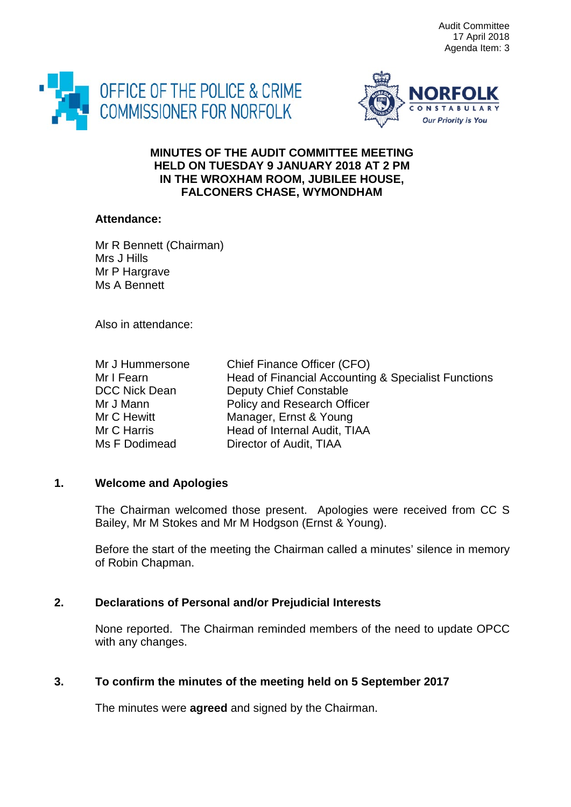Audit Committee 17 April 2018 Agenda Item: 3





### **MINUTES OF THE AUDIT COMMITTEE MEETING HELD ON TUESDAY 9 JANUARY 2018 AT 2 PM IN THE WROXHAM ROOM, JUBILEE HOUSE, FALCONERS CHASE, WYMONDHAM**

#### **Attendance:**

Mr R Bennett (Chairman) Mrs J Hills Mr P Hargrave Ms A Bennett

Also in attendance:

| Mr J Hummersone      | Chief Finance Officer (CFO)                         |
|----------------------|-----------------------------------------------------|
| Mr I Fearn           | Head of Financial Accounting & Specialist Functions |
| <b>DCC Nick Dean</b> | Deputy Chief Constable                              |
| Mr J Mann            | Policy and Research Officer                         |
| Mr C Hewitt          | Manager, Ernst & Young                              |
| Mr C Harris          | Head of Internal Audit, TIAA                        |
| Ms F Dodimead        | Director of Audit, TIAA                             |

# **1. Welcome and Apologies**

The Chairman welcomed those present. Apologies were received from CC S Bailey, Mr M Stokes and Mr M Hodgson (Ernst & Young).

Before the start of the meeting the Chairman called a minutes' silence in memory of Robin Chapman.

# **2. Declarations of Personal and/or Prejudicial Interests**

None reported. The Chairman reminded members of the need to update OPCC with any changes.

# **3. To confirm the minutes of the meeting held on 5 September 2017**

The minutes were **agreed** and signed by the Chairman.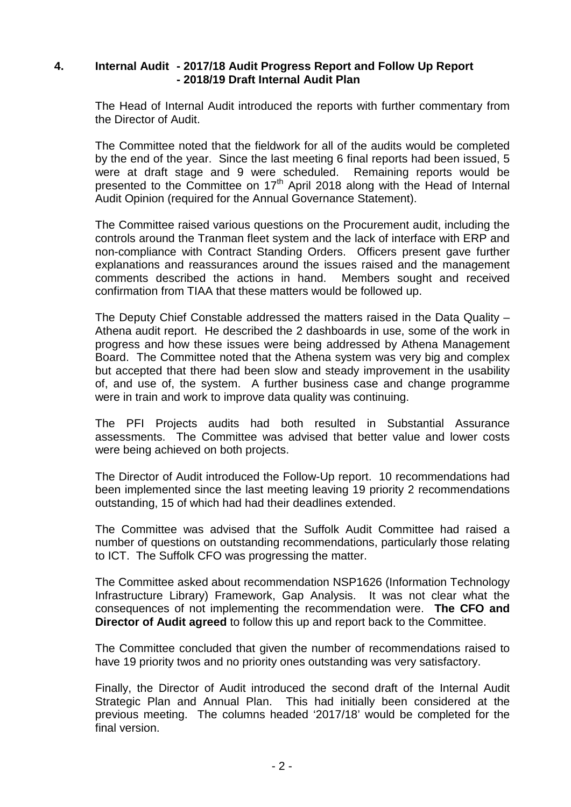### **4. Internal Audit - 2017/18 Audit Progress Report and Follow Up Report - 2018/19 Draft Internal Audit Plan**

The Head of Internal Audit introduced the reports with further commentary from the Director of Audit.

The Committee noted that the fieldwork for all of the audits would be completed by the end of the year. Since the last meeting 6 final reports had been issued, 5 were at draft stage and 9 were scheduled. Remaining reports would be presented to the Committee on 17th April 2018 along with the Head of Internal Audit Opinion (required for the Annual Governance Statement).

The Committee raised various questions on the Procurement audit, including the controls around the Tranman fleet system and the lack of interface with ERP and non-compliance with Contract Standing Orders. Officers present gave further explanations and reassurances around the issues raised and the management comments described the actions in hand. Members sought and received comments described the actions in hand. confirmation from TIAA that these matters would be followed up.

The Deputy Chief Constable addressed the matters raised in the Data Quality – Athena audit report. He described the 2 dashboards in use, some of the work in progress and how these issues were being addressed by Athena Management Board. The Committee noted that the Athena system was very big and complex but accepted that there had been slow and steady improvement in the usability of, and use of, the system. A further business case and change programme were in train and work to improve data quality was continuing.

The PFI Projects audits had both resulted in Substantial Assurance assessments. The Committee was advised that better value and lower costs were being achieved on both projects.

The Director of Audit introduced the Follow-Up report. 10 recommendations had been implemented since the last meeting leaving 19 priority 2 recommendations outstanding, 15 of which had had their deadlines extended.

The Committee was advised that the Suffolk Audit Committee had raised a number of questions on outstanding recommendations, particularly those relating to ICT. The Suffolk CFO was progressing the matter.

The Committee asked about recommendation NSP1626 (Information Technology Infrastructure Library) Framework, Gap Analysis. It was not clear what the consequences of not implementing the recommendation were. **The CFO and Director of Audit agreed** to follow this up and report back to the Committee.

The Committee concluded that given the number of recommendations raised to have 19 priority twos and no priority ones outstanding was very satisfactory.

Finally, the Director of Audit introduced the second draft of the Internal Audit Strategic Plan and Annual Plan. This had initially been considered at the previous meeting. The columns headed '2017/18' would be completed for the final version.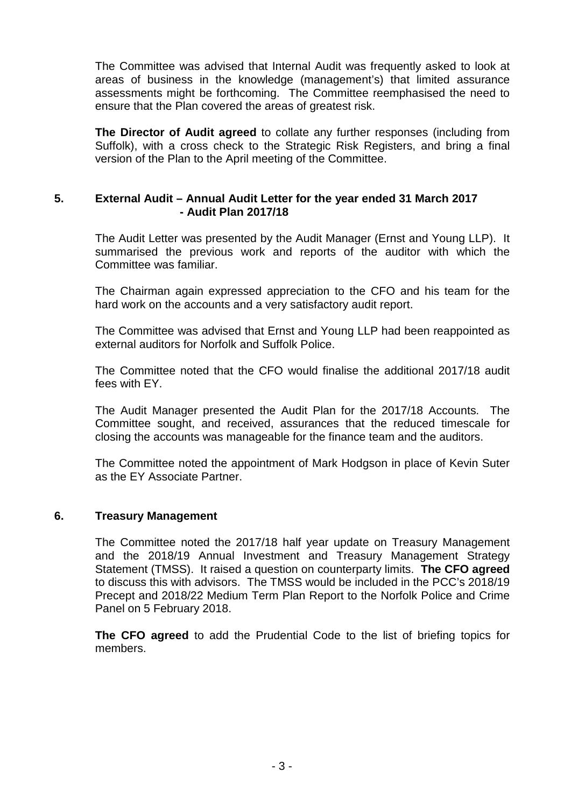The Committee was advised that Internal Audit was frequently asked to look at areas of business in the knowledge (management's) that limited assurance assessments might be forthcoming. The Committee reemphasised the need to ensure that the Plan covered the areas of greatest risk.

**The Director of Audit agreed** to collate any further responses (including from Suffolk), with a cross check to the Strategic Risk Registers, and bring a final version of the Plan to the April meeting of the Committee.

### **5. External Audit – Annual Audit Letter for the year ended 31 March 2017 - Audit Plan 2017/18**

The Audit Letter was presented by the Audit Manager (Ernst and Young LLP). It summarised the previous work and reports of the auditor with which the Committee was familiar.

The Chairman again expressed appreciation to the CFO and his team for the hard work on the accounts and a very satisfactory audit report.

The Committee was advised that Ernst and Young LLP had been reappointed as external auditors for Norfolk and Suffolk Police.

The Committee noted that the CFO would finalise the additional 2017/18 audit fees with EY.

The Audit Manager presented the Audit Plan for the 2017/18 Accounts. The Committee sought, and received, assurances that the reduced timescale for closing the accounts was manageable for the finance team and the auditors.

The Committee noted the appointment of Mark Hodgson in place of Kevin Suter as the EY Associate Partner.

### **6. Treasury Management**

The Committee noted the 2017/18 half year update on Treasury Management and the 2018/19 Annual Investment and Treasury Management Strategy Statement (TMSS). It raised a question on counterparty limits. **The CFO agreed** to discuss this with advisors. The TMSS would be included in the PCC's 2018/19 Precept and 2018/22 Medium Term Plan Report to the Norfolk Police and Crime Panel on 5 February 2018.

**The CFO agreed** to add the Prudential Code to the list of briefing topics for members.